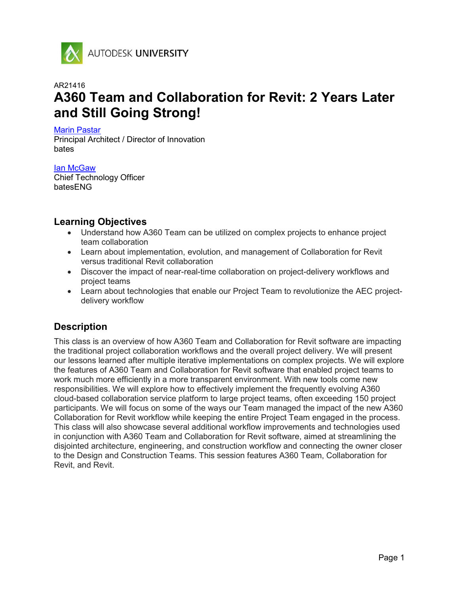

AUTODESK UNIVERSITY

# AR21416 A360 Team and Collaboration for Revit: 2 Years Later and Still Going Strong!

Marin Pastar

Principal Architect / Director of Innovation bates

Ian McGaw Chief Technology Officer batesENG

### Learning Objectives

- Understand how A360 Team can be utilized on complex projects to enhance project team collaboration
- Learn about implementation, evolution, and management of Collaboration for Revit versus traditional Revit collaboration
- Discover the impact of near-real-time collaboration on project-delivery workflows and project teams
- Learn about technologies that enable our Project Team to revolutionize the AEC projectdelivery workflow

# **Description**

This class is an overview of how A360 Team and Collaboration for Revit software are impacting the traditional project collaboration workflows and the overall project delivery. We will present our lessons learned after multiple iterative implementations on complex projects. We will explore the features of A360 Team and Collaboration for Revit software that enabled project teams to work much more efficiently in a more transparent environment. With new tools come new responsibilities. We will explore how to effectively implement the frequently evolving A360 cloud-based collaboration service platform to large project teams, often exceeding 150 project participants. We will focus on some of the ways our Team managed the impact of the new A360 Collaboration for Revit workflow while keeping the entire Project Team engaged in the process. This class will also showcase several additional workflow improvements and technologies used in conjunction with A360 Team and Collaboration for Revit software, aimed at streamlining the disjointed architecture, engineering, and construction workflow and connecting the owner closer to the Design and Construction Teams. This session features A360 Team, Collaboration for Revit, and Revit.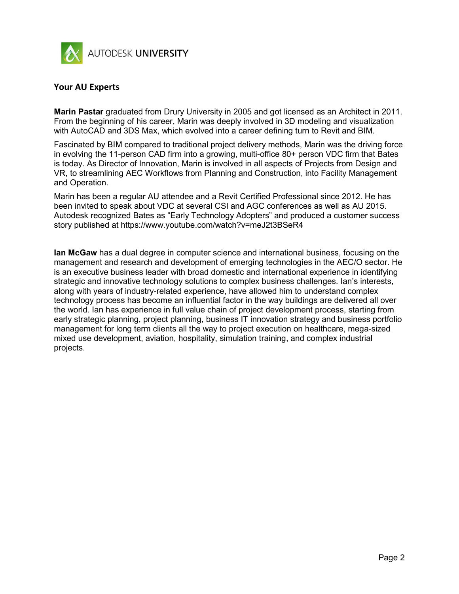

### Your AU Experts

Marin Pastar graduated from Drury University in 2005 and got licensed as an Architect in 2011. From the beginning of his career, Marin was deeply involved in 3D modeling and visualization with AutoCAD and 3DS Max, which evolved into a career defining turn to Revit and BIM.

Fascinated by BIM compared to traditional project delivery methods, Marin was the driving force in evolving the 11-person CAD firm into a growing, multi-office 80+ person VDC firm that Bates is today. As Director of Innovation, Marin is involved in all aspects of Projects from Design and VR, to streamlining AEC Workflows from Planning and Construction, into Facility Management and Operation.

Marin has been a regular AU attendee and a Revit Certified Professional since 2012. He has been invited to speak about VDC at several CSI and AGC conferences as well as AU 2015. Autodesk recognized Bates as "Early Technology Adopters" and produced a customer success story published at https://www.youtube.com/watch?v=meJ2t3BSeR4

**Ian McGaw** has a dual degree in computer science and international business, focusing on the management and research and development of emerging technologies in the AEC/O sector. He is an executive business leader with broad domestic and international experience in identifying strategic and innovative technology solutions to complex business challenges. Ian's interests, along with years of industry-related experience, have allowed him to understand complex technology process has become an influential factor in the way buildings are delivered all over the world. Ian has experience in full value chain of project development process, starting from early strategic planning, project planning, business IT innovation strategy and business portfolio management for long term clients all the way to project execution on healthcare, mega-sized mixed use development, aviation, hospitality, simulation training, and complex industrial projects.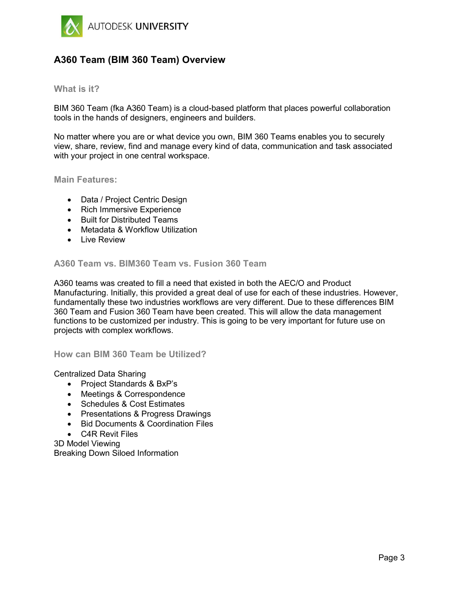

### A360 Team (BIM 360 Team) Overview

#### What is it?

BIM 360 Team (fka A360 Team) is a cloud-based platform that places powerful collaboration tools in the hands of designers, engineers and builders.

No matter where you are or what device you own, BIM 360 Teams enables you to securely view, share, review, find and manage every kind of data, communication and task associated with your project in one central workspace.

Main Features:

- Data / Project Centric Design
- Rich Immersive Experience
- Built for Distributed Teams
- Metadata & Workflow Utilization
- Live Review

#### A360 Team vs. BIM360 Team vs. Fusion 360 Team

A360 teams was created to fill a need that existed in both the AEC/O and Product Manufacturing. Initially, this provided a great deal of use for each of these industries. However, fundamentally these two industries workflows are very different. Due to these differences BIM 360 Team and Fusion 360 Team have been created. This will allow the data management functions to be customized per industry. This is going to be very important for future use on projects with complex workflows.

How can BIM 360 Team be Utilized?

Centralized Data Sharing

- Project Standards & BxP's
- Meetings & Correspondence
- Schedules & Cost Estimates
- Presentations & Progress Drawings
- Bid Documents & Coordination Files
- C4R Revit Files

3D Model Viewing Breaking Down Siloed Information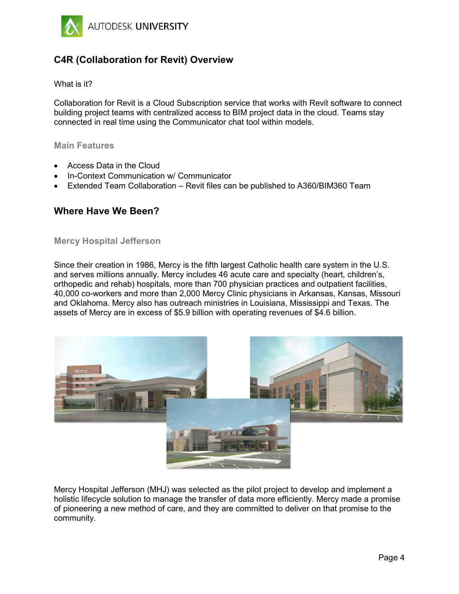

## C4R (Collaboration for Revit) Overview

#### What is it?

Collaboration for Revit is a Cloud Subscription service that works with Revit software to connect building project teams with centralized access to BIM project data in the cloud. Teams stay connected in real time using the Communicator chat tool within models.

#### Main Features

- Access Data in the Cloud
- In-Context Communication w/ Communicator
- Extended Team Collaboration Revit files can be published to A360/BIM360 Team

### Where Have We Been?

#### Mercy Hospital Jefferson

Since their creation in 1986, Mercy is the fifth largest Catholic health care system in the U.S. and serves millions annually. Mercy includes 46 acute care and specialty (heart, children's, orthopedic and rehab) hospitals, more than 700 physician practices and outpatient facilities, 40,000 co-workers and more than 2,000 Mercy Clinic physicians in Arkansas, Kansas, Missouri and Oklahoma. Mercy also has outreach ministries in Louisiana, Mississippi and Texas. The assets of Mercy are in excess of \$5.9 billion with operating revenues of \$4.6 billion.



Mercy Hospital Jefferson (MHJ) was selected as the pilot project to develop and implement a holistic lifecycle solution to manage the transfer of data more efficiently. Mercy made a promise of pioneering a new method of care, and they are committed to deliver on that promise to the community.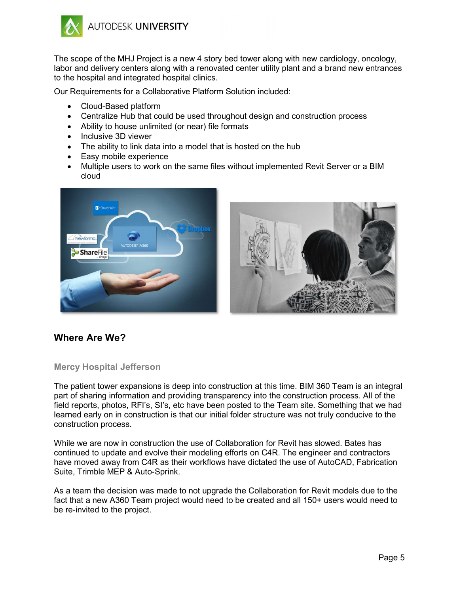

The scope of the MHJ Project is a new 4 story bed tower along with new cardiology, oncology, labor and delivery centers along with a renovated center utility plant and a brand new entrances to the hospital and integrated hospital clinics.

Our Requirements for a Collaborative Platform Solution included:

- Cloud-Based platform
- Centralize Hub that could be used throughout design and construction process
- Ability to house unlimited (or near) file formats
- Inclusive 3D viewer
- The ability to link data into a model that is hosted on the hub
- Easy mobile experience
- Multiple users to work on the same files without implemented Revit Server or a BIM cloud





### Where Are We?

#### Mercy Hospital Jefferson

The patient tower expansions is deep into construction at this time. BIM 360 Team is an integral part of sharing information and providing transparency into the construction process. All of the field reports, photos, RFI's, SI's, etc have been posted to the Team site. Something that we had learned early on in construction is that our initial folder structure was not truly conducive to the construction process.

While we are now in construction the use of Collaboration for Revit has slowed. Bates has continued to update and evolve their modeling efforts on C4R. The engineer and contractors have moved away from C4R as their workflows have dictated the use of AutoCAD, Fabrication Suite, Trimble MEP & Auto-Sprink.

As a team the decision was made to not upgrade the Collaboration for Revit models due to the fact that a new A360 Team project would need to be created and all 150+ users would need to be re-invited to the project.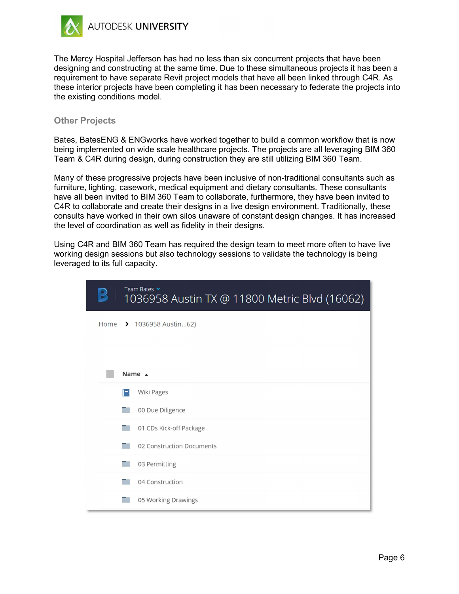

The Mercy Hospital Jefferson has had no less than six concurrent projects that have been designing and constructing at the same time. Due to these simultaneous projects it has been a requirement to have separate Revit project models that have all been linked through C4R. As these interior projects have been completing it has been necessary to federate the projects into the existing conditions model.

### Other Projects

Bates, BatesENG & ENGworks have worked together to build a common workflow that is now being implemented on wide scale healthcare projects. The projects are all leveraging BIM 360 Team & C4R during design, during construction they are still utilizing BIM 360 Team.

Many of these progressive projects have been inclusive of non-traditional consultants such as furniture, lighting, casework, medical equipment and dietary consultants. These consultants have all been invited to BIM 360 Team to collaborate, furthermore, they have been invited to C4R to collaborate and create their designs in a live design environment. Traditionally, these consults have worked in their own silos unaware of constant design changes. It has increased the level of coordination as well as fidelity in their designs.

Using C4R and BIM 360 Team has required the design team to meet more often to have live working design sessions but also technology sessions to validate the technology is being leveraged to its full capacity.

| Team Bates v<br>1036958 Austin TX @ 11800 Metric Blvd (16062) |
|---------------------------------------------------------------|
| Home > 1036958 Austin62)                                      |
|                                                               |
| Name $\triangle$                                              |
| Wiki Pages                                                    |
| 00 Due Diligence                                              |
| 01 CDs Kick-off Package                                       |
| 02 Construction Documents                                     |
| 03 Permitting                                                 |
| 04 Construction                                               |
| 05 Working Drawings                                           |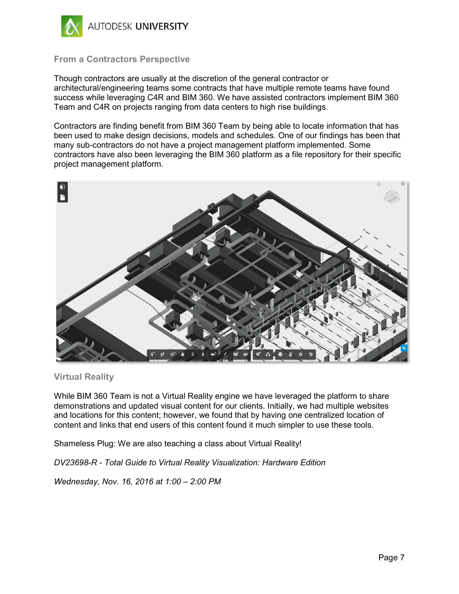

### From a Contractors Perspective

Though contractors are usually at the discretion of the general contractor or architectural/engineering teams some contracts that have multiple remote teams have found success while leveraging C4R and BIM 360. We have assisted contractors implement BIM 360 Team and C4R on projects ranging from data centers to high rise buildings.

Contractors are finding benefit from BIM 360 Team by being able to locate information that has been used to make design decisions, models and schedules. One of our findings has been that many sub-contractors do not have a project management platform implemented. Some contractors have also been leveraging the BIM 360 platform as a file repository for their specific project management platform.



### Virtual Reality

While BIM 360 Team is not a Virtual Reality engine we have leveraged the platform to share demonstrations and updated visual content for our clients. Initially, we had multiple websites and locations for this content; however, we found that by having one centralized location of content and links that end users of this content found it much simpler to use these tools.

Shameless Plug: We are also teaching a class about Virtual Reality!

DV23698-R - Total Guide to Virtual Reality Visualization: Hardware Edition

Wednesday, Nov. 16, 2016 at 1:00 – 2:00 PM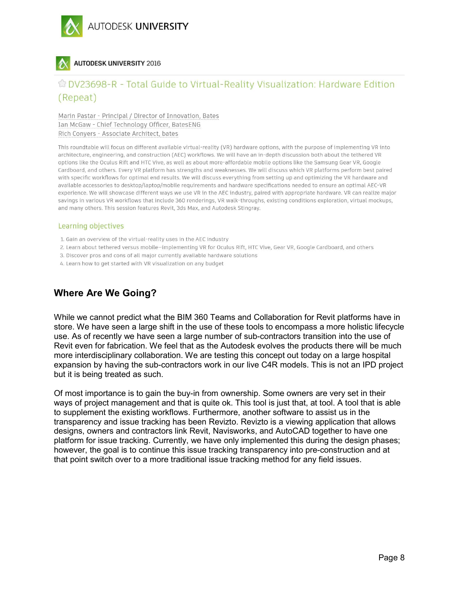

### **AUTODESK UNIVERSITY 2016**

# C DV23698-R - Total Guide to Virtual-Reality Visualization: Hardware Edition (Repeat)

Marin Pastar - Principal / Director of Innovation, Bates Ian McGaw - Chief Technology Officer, BatesENG Rich Conyers - Associate Architect, bates

This roundtable will focus on different available virtual-reality (VR) hardware options, with the purpose of implementing VR into architecture, engineering, and construction (AEC) workflows. We will have an in-depth discussion both about the tethered VR options like the Oculus Rift and HTC Vive, as well as about more-affordable mobile options like the Samsung Gear VR, Google Cardboard, and others. Every VR platform has strengths and weaknesses. We will discuss which VR platforms perform best paired with specific workflows for optimal end results. We will discuss everything from setting up and optimizing the VR hardware and available accessories to desktop/laptop/mobile requirements and hardware specifications needed to ensure an optimal AEC-VR experience. We will showcase different ways we use VR in the AEC industry, paired with appropriate hardware. VR can realize major savings in various VR workflows that include 360 renderings, VR walk-throughs, existing conditions exploration, virtual mockups, and many others. This session features Revit, 3ds Max, and Autodesk Stingray.

#### Learning objectives

- 1. Gain an overview of the virtual-reality uses in the AEC industry
- 2. Learn about tethered versus mobile-implementing VR for Oculus Rift, HTC Vive, Gear VR, Google Cardboard, and others
- 3. Discover pros and cons of all major currently available hardware solutions
- 4. Learn how to get started with VR visualization on any budget

### Where Are We Going?

While we cannot predict what the BIM 360 Teams and Collaboration for Revit platforms have in store. We have seen a large shift in the use of these tools to encompass a more holistic lifecycle use. As of recently we have seen a large number of sub-contractors transition into the use of Revit even for fabrication. We feel that as the Autodesk evolves the products there will be much more interdisciplinary collaboration. We are testing this concept out today on a large hospital expansion by having the sub-contractors work in our live C4R models. This is not an IPD project but it is being treated as such.

Of most importance is to gain the buy-in from ownership. Some owners are very set in their ways of project management and that is quite ok. This tool is just that, at tool. A tool that is able to supplement the existing workflows. Furthermore, another software to assist us in the transparency and issue tracking has been Revizto. Revizto is a viewing application that allows designs, owners and contractors link Revit, Navisworks, and AutoCAD together to have one platform for issue tracking. Currently, we have only implemented this during the design phases; however, the goal is to continue this issue tracking transparency into pre-construction and at that point switch over to a more traditional issue tracking method for any field issues.